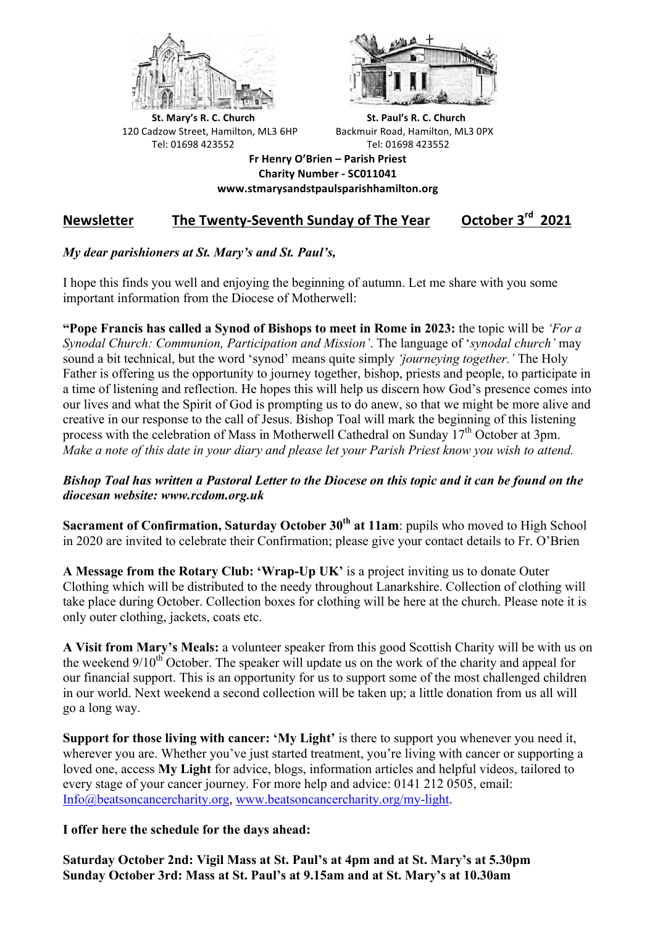



**St.** Mary's R. C. Church St. Paul's R. C. Church 120 Cadzow Street, Hamilton, ML3 6HP Backmuir Road, Hamilton, ML3 0PX Tel: 01698 423552 Tel: 01698 423552

**Fr Henry O'Brien – Parish Priest Charity Number - SC011041 www.stmarysandstpaulsparishhamilton.org**

# **Newsletter** The Twenty-Seventh Sunday of The Year October 3<sup>rd</sup> 2021

# *My dear parishioners at St. Mary's and St. Paul's,*

I hope this finds you well and enjoying the beginning of autumn. Let me share with you some important information from the Diocese of Motherwell:

**"Pope Francis has called a Synod of Bishops to meet in Rome in 2023:** the topic will be *'For a Synodal Church: Communion, Participation and Mission'*. The language of '*synodal church'* may sound a bit technical, but the word 'synod' means quite simply *'journeying together.'* The Holy Father is offering us the opportunity to journey together, bishop, priests and people, to participate in a time of listening and reflection. He hopes this will help us discern how God's presence comes into our lives and what the Spirit of God is prompting us to do anew, so that we might be more alive and creative in our response to the call of Jesus. Bishop Toal will mark the beginning of this listening process with the celebration of Mass in Motherwell Cathedral on Sunday  $17<sup>th</sup>$  October at 3pm. *Make a note of this date in your diary and please let your Parish Priest know you wish to attend.*

## *Bishop Toal has written a Pastoral Letter to the Diocese on this topic and it can be found on the diocesan website: www.rcdom.org.uk*

**Sacrament of Confirmation, Saturday October 30th at 11am**: pupils who moved to High School in 2020 are invited to celebrate their Confirmation; please give your contact details to Fr. O'Brien

**A Message from the Rotary Club: 'Wrap-Up UK'** is a project inviting us to donate Outer Clothing which will be distributed to the needy throughout Lanarkshire. Collection of clothing will take place during October. Collection boxes for clothing will be here at the church. Please note it is only outer clothing, jackets, coats etc.

**A Visit from Mary's Meals:** a volunteer speaker from this good Scottish Charity will be with us on the weekend  $9/10<sup>th</sup>$  October. The speaker will update us on the work of the charity and appeal for our financial support. This is an opportunity for us to support some of the most challenged children in our world. Next weekend a second collection will be taken up; a little donation from us all will go a long way.

**Support for those living with cancer: 'My Light'** is there to support you whenever you need it, wherever you are. Whether you've just started treatment, you're living with cancer or supporting a loved one, access **My Light** for advice, blogs, information articles and helpful videos, tailored to every stage of your cancer journey. For more help and advice: 0141 212 0505, email: Info@beatsoncancercharity.org, www.beatsoncancercharity.org/my-light.

**I offer here the schedule for the days ahead:**

**Saturday October 2nd: Vigil Mass at St. Paul's at 4pm and at St. Mary's at 5.30pm Sunday October 3rd: Mass at St. Paul's at 9.15am and at St. Mary's at 10.30am**